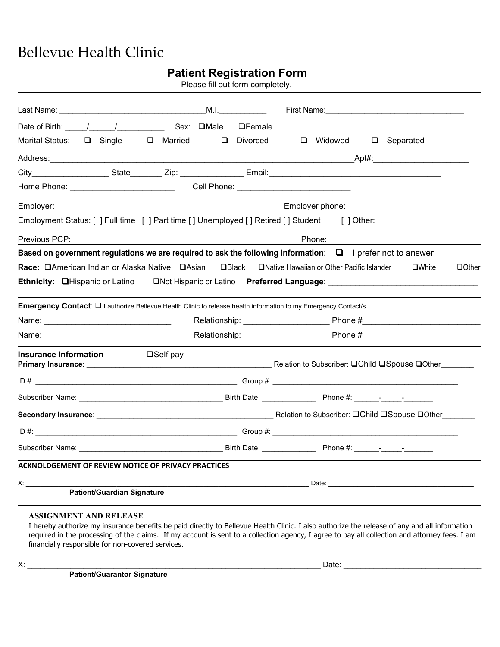## Bellevue Health Clinic

|                                                            | <b>Patient Registration Form</b><br>Please fill out form completely.                                             |                                                                                                                |  |
|------------------------------------------------------------|------------------------------------------------------------------------------------------------------------------|----------------------------------------------------------------------------------------------------------------|--|
|                                                            |                                                                                                                  |                                                                                                                |  |
| Date of Birth: / / / / Sex: □Male                          | <b>OFemale</b>                                                                                                   |                                                                                                                |  |
|                                                            | Marital Status: □ Single □ Married □ Divorced                                                                    | □ Widowed □ Separated                                                                                          |  |
|                                                            |                                                                                                                  |                                                                                                                |  |
|                                                            |                                                                                                                  |                                                                                                                |  |
|                                                            |                                                                                                                  |                                                                                                                |  |
| Employer:                                                  |                                                                                                                  | Employer phone: _____________________                                                                          |  |
|                                                            | Employment Status: [] Full time [] Part time [] Unemployed [] Retired [] Student [] Other:                       |                                                                                                                |  |
| Previous PCP:                                              | Phone:                                                                                                           |                                                                                                                |  |
|                                                            | Emergency Contact: [2] authorize Bellevue Health Clinic to release health information to my Emergency Contact/s. | Ethnicity: □Hispanic or Latino □Not Hispanic or Latino Preferred Language: ___________________________________ |  |
|                                                            |                                                                                                                  |                                                                                                                |  |
| <b>Insurance Information</b>                               | $\square$ Self pay                                                                                               |                                                                                                                |  |
|                                                            |                                                                                                                  |                                                                                                                |  |
|                                                            |                                                                                                                  |                                                                                                                |  |
|                                                            |                                                                                                                  |                                                                                                                |  |
| ID#:                                                       | _____________Group #: _______________                                                                            |                                                                                                                |  |
|                                                            |                                                                                                                  |                                                                                                                |  |
| <b>ACKNOLDGEMENT OF REVIEW NOTICE OF PRIVACY PRACTICES</b> |                                                                                                                  |                                                                                                                |  |
| X:                                                         |                                                                                                                  |                                                                                                                |  |
| Patient/Guardian Signature                                 |                                                                                                                  |                                                                                                                |  |

## **ASSIGNMENT AND RELEASE**

I hereby authorize my insurance benefits be paid directly to Bellevue Health Clinic. I also authorize the release of any and all information required in the processing of the claims. If my account is sent to a collection agency, I agree to pay all collection and attorney fees. I am financially responsible for non-covered services.

**Patient/Guarantor Signature**